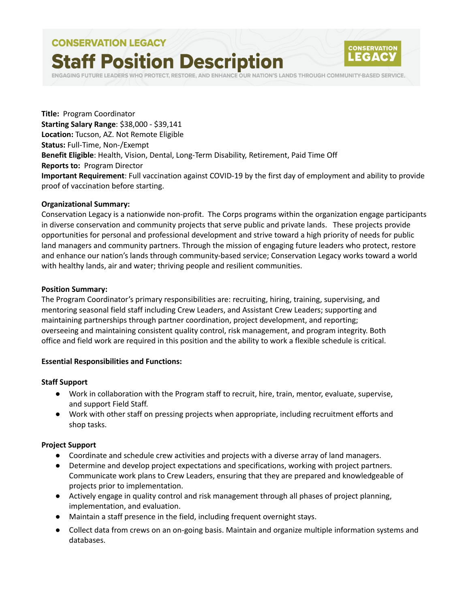# **Staff Position Description**



ENGAGING FUTURE LEADERS WHO PROTECT, RESTORE, AND ENHANCE OUR NATION'S LANDS THROUGH COMMUNITY-BASED SERVICE.

**Title:** Program Coordinator **Starting Salary Range**: \$38,000 - \$39,141 **Location:** Tucson, AZ. Not Remote Eligible **Status:** Full-Time, Non-/Exempt **Benefit Eligible**: Health, Vision, Dental, Long-Term Disability, Retirement, Paid Time Off **Reports to:** Program Director **Important Requirement**: Full vaccination against COVID-19 by the first day of employment and ability to provide proof of vaccination before starting.

#### **Organizational Summary:**

Conservation Legacy is a nationwide non-profit. The Corps programs within the organization engage participants in diverse conservation and community projects that serve public and private lands. These projects provide opportunities for personal and professional development and strive toward a high priority of needs for public land managers and community partners. Through the mission of engaging future leaders who protect, restore and enhance our nation's lands through community-based service; Conservation Legacy works toward a world with healthy lands, air and water; thriving people and resilient communities.

#### **Position Summary:**

The Program Coordinator's primary responsibilities are: recruiting, hiring, training, supervising, and mentoring seasonal field staff including Crew Leaders, and Assistant Crew Leaders; supporting and maintaining partnerships through partner coordination, project development, and reporting; overseeing and maintaining consistent quality control, risk management, and program integrity. Both office and field work are required in this position and the ability to work a flexible schedule is critical.

#### **Essential Responsibilities and Functions:**

#### **Staff Support**

- Work in collaboration with the Program staff to recruit, hire, train, mentor, evaluate, supervise, and support Field Staff.
- Work with other staff on pressing projects when appropriate, including recruitment efforts and shop tasks.

#### **Project Support**

- Coordinate and schedule crew activities and projects with a diverse array of land managers.
- Determine and develop project expectations and specifications, working with project partners. Communicate work plans to Crew Leaders, ensuring that they are prepared and knowledgeable of projects prior to implementation.
- Actively engage in quality control and risk management through all phases of project planning, implementation, and evaluation.
- Maintain a staff presence in the field, including frequent overnight stays.
- Collect data from crews on an on-going basis. Maintain and organize multiple information systems and databases.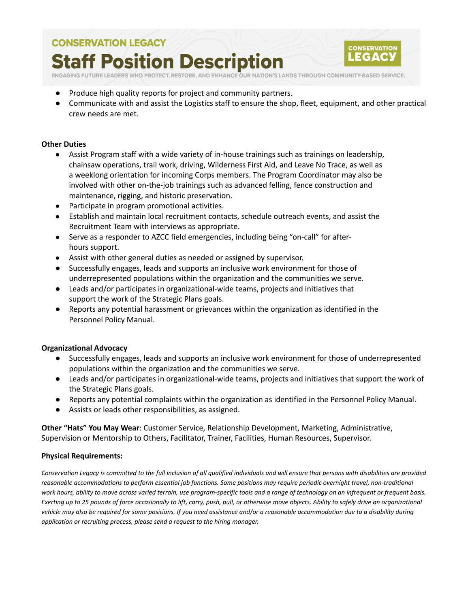## **Staff Position Description**



NATION'S LANDS THROUGH COMMUNITY-BASED SERVICE.

- Produce high quality reports for project and community partners.
- Communicate with and assist the Logistics staff to ensure the shop, fleet, equipment, and other practical crew needs are met.

#### **Other Duties**

- Assist Program staff with a wide variety of in-house trainings such as trainings on leadership, chainsaw operations, trail work, driving, Wilderness First Aid, and Leave No Trace, as well as a weeklong orientation for incoming Corps members. The Program Coordinator may also be involved with other on-the-job trainings such as advanced felling, fence construction and maintenance, rigging, and historic preservation.
- Participate in program promotional activities.
- Establish and maintain local recruitment contacts, schedule outreach events, and assist the Recruitment Team with interviews as appropriate.
- Serve as a responder to AZCC field emergencies, including being "on-call" for afterhours support.
- Assist with other general duties as needed or assigned by supervisor.
- Successfully engages, leads and supports an inclusive work environment for those of underrepresented populations within the organization and the communities we serve.
- Leads and/or participates in organizational-wide teams, projects and initiatives that support the work of the Strategic Plans goals.
- Reports any potential harassment or grievances within the organization as identified in the Personnel Policy Manual.

#### **Organizational Advocacy**

- Successfully engages, leads and supports an inclusive work environment for those of underrepresented populations within the organization and the communities we serve.
- Leads and/or participates in organizational-wide teams, projects and initiatives that support the work of the Strategic Plans goals.
- Reports any potential complaints within the organization as identified in the Personnel Policy Manual.
- Assists or leads other responsibilities, as assigned.

**Other "Hats" You May Wear**: Customer Service, Relationship Development, Marketing, Administrative, Supervision or Mentorship to Others, Facilitator, Trainer, Facilities, Human Resources, Supervisor.

#### **Physical Requirements:**

*Conservation Legacy is committed to the full inclusion of all qualified individuals and will ensure that persons with disabilities are provided reasonable accommodations to perform essential job functions. Some positions may require periodic overnight travel, non-traditional work hours, ability to move across varied terrain, use program-specific tools and a range of technology on an infrequent or frequent basis. Exerting up to 25 pounds of force occasionally to lift, carry, push, pull, or otherwise move objects. Ability to safely drive an organizational vehicle may also be required for some positions. If you need assistance and/or a reasonable accommodation due to a disability during application or recruiting process, please send a request to the hiring manager.*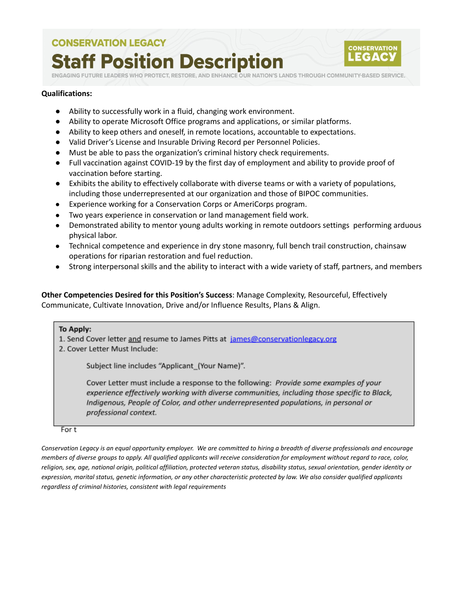# **Staff Position Description**



ENGAGING FUTURE LEADERS WHO PROTECT, RESTORE, AND ENHANCE OUR NATION'S LANDS THROUGH COMMUNITY-BASED SERVICE.

#### **Qualifications:**

- Ability to successfully work in a fluid, changing work environment.
- Ability to operate Microsoft Office programs and applications, or similar platforms.
- Ability to keep others and oneself, in remote locations, accountable to expectations.
- Valid Driver's License and Insurable Driving Record per Personnel Policies.
- Must be able to pass the organization's criminal history check requirements.
- Full vaccination against COVID-19 by the first day of employment and ability to provide proof of vaccination before starting.
- Exhibits the ability to effectively collaborate with diverse teams or with a variety of populations, including those underrepresented at our organization and those of BIPOC communities.
- Experience working for a Conservation Corps or AmeriCorps program.
- Two years experience in conservation or land management field work.
- Demonstrated ability to mentor young adults working in remote outdoors settings performing arduous physical labor.
- Technical competence and experience in dry stone masonry, full bench trail construction, chainsaw operations for riparian restoration and fuel reduction.
- Strong interpersonal skills and the ability to interact with a wide variety of staff, partners, and members

**Other Competencies Desired for this Position's Success**: Manage Complexity, Resourceful, Effectively Communicate, Cultivate Innovation, Drive and/or Influence Results, Plans & Align.

#### To Apply:

1. Send Cover letter and resume to James Pitts at james@conservationlegacy.org

2. Cover Letter Must Include:

Subject line includes "Applicant\_(Your Name)".

Cover Letter must include a response to the following: Provide some examples of your experience effectively working with diverse communities, including those specific to Black, Indigenous, People of Color, and other underrepresented populations, in personal or professional context.

For t

*Conservation Legacy is an equal opportunity employer. We are committed to hiring a breadth of diverse professionals and encourage members of diverse groups to apply. All qualified applicants will receive consideration for employment without regard to race, color, religion, sex, age, national origin, political affiliation, protected veteran status, disability status, sexual orientation, gender identity or expression, marital status, genetic information, or any other characteristic protected by law. We also consider qualified applicants regardless of criminal histories, consistent with legal requirements*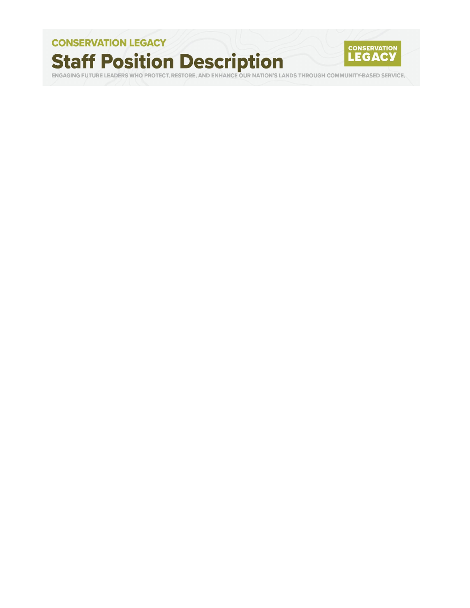# **Staff Position Description Experience CONSERVATION**